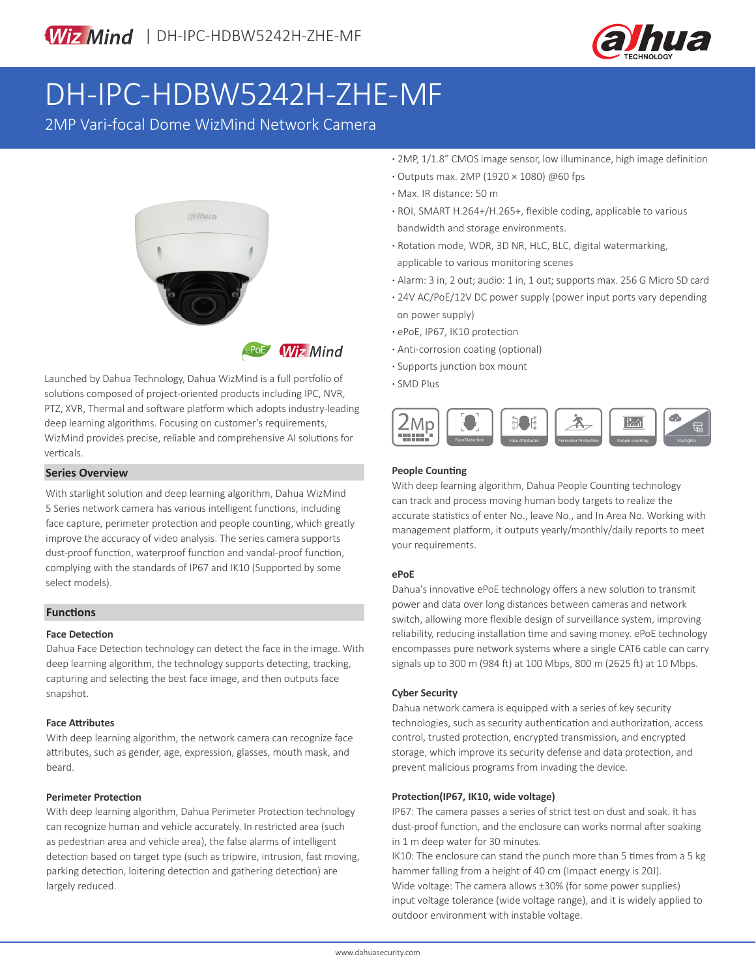

# DH-IPC-HDBW5242H-ZHE-MF

2MP Vari-focal Dome WizMind Network Camera



Launched by Dahua Technology, Dahua WizMind is a full portfolio of solutions composed of project-oriented products including IPC, NVR, PTZ, XVR, Thermal and software platform which adopts industry-leading deep learning algorithms. Focusing on customer's requirements, WizMind provides precise, reliable and comprehensive AI solutions for verticals.

### **Series Overview**

With starlight solution and deep learning algorithm, Dahua WizMind 5 Series network camera has various intelligent functions, including face capture, perimeter protection and people counting, which greatly improve the accuracy of video analysis. The series camera supports dust-proof function, waterproof function and vandal-proof function, complying with the standards of IP67 and IK10 (Supported by some select models).

### **Functions**

### **Face Detection**

Dahua Face Detection technology can detect the face in the image. With deep learning algorithm, the technology supports detecting, tracking, capturing and selecting the best face image, and then outputs face snapshot.

### **Face Attributes**

With deep learning algorithm, the network camera can recognize face attributes, such as gender, age, expression, glasses, mouth mask, and beard.

### **Perimeter Protection**

With deep learning algorithm, Dahua Perimeter Protection technology can recognize human and vehicle accurately. In restricted area (such as pedestrian area and vehicle area), the false alarms of intelligent detection based on target type (such as tripwire, intrusion, fast moving, parking detection, loitering detection and gathering detection) are largely reduced.

- **·** 2MP, 1/1.8" CMOS image sensor, low illuminance, high image definition
- **·** Outputs max. 2MP (1920 × 1080) @60 fps
- **·** Max. IR distance: 50 m
- **·** ROI, SMART H.264+/H.265+, flexible coding, applicable to various bandwidth and storage environments.
- **·** Rotation mode, WDR, 3D NR, HLC, BLC, digital watermarking, applicable to various monitoring scenes
- **·** Alarm: 3 in, 2 out; audio: 1 in, 1 out; supports max. 256 G Micro SD card
- **·** 24V AC/PoE/12V DC power supply (power input ports vary depending on power supply)
- **·** ePoE, IP67, IK10 protection
- **·** Anti-corrosion coating (optional)
- **·** Supports junction box mount
- **·** SMD Plus



### **People Counting**

With deep learning algorithm, Dahua People Counting technology can track and process moving human body targets to realize the accurate statistics of enter No., leave No., and In Area No. Working with management platform, it outputs yearly/monthly/daily reports to meet your requirements.

### **ePoE**

Dahua's innovative ePoE technology offers a new solution to transmit power and data over long distances between cameras and network switch, allowing more flexible design of surveillance system, improving reliability, reducing installation time and saving money. ePoE technology encompasses pure network systems where a single CAT6 cable can carry signals up to 300 m (984 ft) at 100 Mbps, 800 m (2625 ft) at 10 Mbps.

### **Cyber Security**

Dahua network camera is equipped with a series of key security technologies, such as security authentication and authorization, access control, trusted protection, encrypted transmission, and encrypted storage, which improve its security defense and data protection, and prevent malicious programs from invading the device.

### **Protection(IP67, IK10, wide voltage)**

IP67: The camera passes a series of strict test on dust and soak. It has dust-proof function, and the enclosure can works normal after soaking in 1 m deep water for 30 minutes.

IK10: The enclosure can stand the punch more than 5 times from a 5 kg hammer falling from a height of 40 cm (Impact energy is 20J). Wide voltage: The camera allows ±30% (for some power supplies) input voltage tolerance (wide voltage range), and it is widely applied to outdoor environment with instable voltage.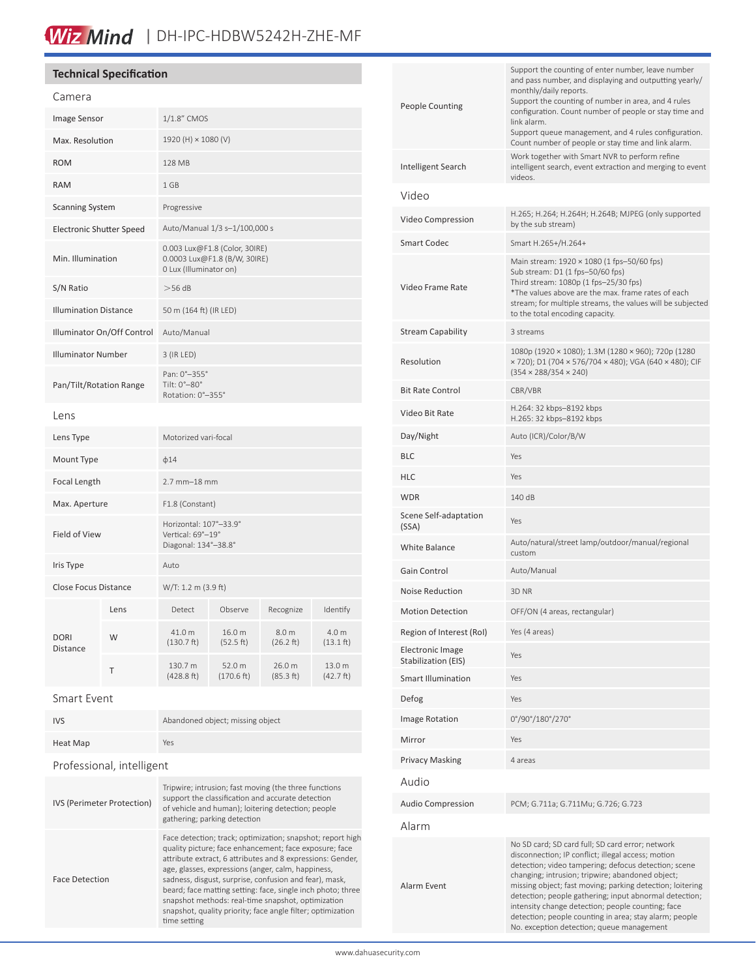## Wiz Mind | DH-IPC-HDBW5242H-ZHE-MF

### **Technical Specification**

| Camera                              |  |                                                                                         |                      |                     |                              |
|-------------------------------------|--|-----------------------------------------------------------------------------------------|----------------------|---------------------|------------------------------|
| Image Sensor                        |  | 1/1.8" CMOS                                                                             |                      |                     |                              |
| Max. Resolution                     |  | 1920 (H) × 1080 (V)                                                                     |                      |                     |                              |
| <b>ROM</b>                          |  | 128 MB                                                                                  |                      |                     |                              |
| <b>RAM</b>                          |  | 1 GB                                                                                    |                      |                     |                              |
| <b>Scanning System</b>              |  | Progressive                                                                             |                      |                     |                              |
| Electronic Shutter Speed            |  | Auto/Manual 1/3 s-1/100,000 s                                                           |                      |                     |                              |
| Min. Illumination                   |  | 0.003 Lux@F1.8 (Color, 30IRE)<br>0.0003 Lux@F1.8 (B/W, 30IRE)<br>0 Lux (Illuminator on) |                      |                     |                              |
| S/N Ratio                           |  | >56 dB                                                                                  |                      |                     |                              |
| <b>Illumination Distance</b>        |  | 50 m (164 ft) (IR LED)                                                                  |                      |                     |                              |
| Illuminator On/Off Control          |  | Auto/Manual                                                                             |                      |                     |                              |
| <b>Illuminator Number</b>           |  | 3 (IR LED)                                                                              |                      |                     |                              |
| Pan/Tilt/Rotation Range             |  | Pan: 0°-355°<br>Tilt: 0°-80°<br>Rotation: 0°-355°                                       |                      |                     |                              |
| Lens                                |  |                                                                                         |                      |                     |                              |
| Lens Type                           |  | Motorized vari-focal                                                                    |                      |                     |                              |
| Mount Type                          |  | $\phi$ 14                                                                               |                      |                     |                              |
| Focal Length                        |  | $2.7$ mm $-18$ mm                                                                       |                      |                     |                              |
| Max. Aperture                       |  | F1.8 (Constant)                                                                         |                      |                     |                              |
| Field of View                       |  | Horizontal: 107°-33.9°<br>Vertical: 69°-19°<br>Diagonal: 134°-38.8°                     |                      |                     |                              |
| Iris Type                           |  | Auto                                                                                    |                      |                     |                              |
| <b>Close Focus Distance</b>         |  | W/T: 1.2 m (3.9 ft)                                                                     |                      |                     |                              |
| Lens                                |  | Detect                                                                                  | Observe              | Recognize           | Identify                     |
| W<br><b>DORI</b><br><b>Distance</b> |  | 41.0 m<br>$(130.7)$ ft)                                                                 | 16.0 m<br>(52.5 ft)  | 8.0 m<br>(26.2 ft)  | 4.0 m<br>$(13.1 \text{ ft})$ |
| Τ                                   |  | 130.7 m<br>(428.8 ft)                                                                   | 52.0 m<br>(170.6 ft) | 26.0 m<br>(85.3 ft) | 13.0 m<br>(42.7 ft)          |

### Smart Event

| <b>IVS</b> | Abandoned object; missing object |
|------------|----------------------------------|
| Heat Map   | Yes                              |

### Professional, intelligent

| IVS (Perimeter Protection) | Tripwire; intrusion; fast moving (the three functions<br>support the classification and accurate detection<br>of vehicle and human); loitering detection; people<br>gathering; parking detection                                                                                                                                                                                                                                                                                                       |
|----------------------------|--------------------------------------------------------------------------------------------------------------------------------------------------------------------------------------------------------------------------------------------------------------------------------------------------------------------------------------------------------------------------------------------------------------------------------------------------------------------------------------------------------|
| <b>Face Detection</b>      | Face detection; track; optimization; snapshot; report high<br>quality picture; face enhancement; face exposure; face<br>attribute extract, 6 attributes and 8 expressions: Gender,<br>age, glasses, expressions (anger, calm, happiness,<br>sadness, disgust, surprise, confusion and fear), mask,<br>beard; face matting setting: face, single inch photo; three<br>snapshot methods: real-time snapshot, optimization<br>snapshot, quality priority; face angle filter; optimization<br>time setting |

| People Counting                                | Support the counting of enter number, leave number<br>and pass number, and displaying and outputting yearly/<br>monthly/daily reports.<br>Support the counting of number in area, and 4 rules<br>configuration. Count number of people or stay time and<br>link alarm.<br>Support queue management, and 4 rules configuration.<br>Count number of people or stay time and link alarm.                                                                                                                 |  |
|------------------------------------------------|-------------------------------------------------------------------------------------------------------------------------------------------------------------------------------------------------------------------------------------------------------------------------------------------------------------------------------------------------------------------------------------------------------------------------------------------------------------------------------------------------------|--|
| Intelligent Search                             | Work together with Smart NVR to perform refine<br>intelligent search, event extraction and merging to event<br>videos.                                                                                                                                                                                                                                                                                                                                                                                |  |
| Video                                          |                                                                                                                                                                                                                                                                                                                                                                                                                                                                                                       |  |
| Video Compression                              | H.265; H.264; H.264H; H.264B; MJPEG (only supported<br>by the sub stream)                                                                                                                                                                                                                                                                                                                                                                                                                             |  |
| Smart Codec                                    | Smart H.265+/H.264+                                                                                                                                                                                                                                                                                                                                                                                                                                                                                   |  |
| Video Frame Rate                               | Main stream: 1920 × 1080 (1 fps-50/60 fps)<br>Sub stream: D1 (1 fps-50/60 fps)<br>Third stream: 1080p (1 fps-25/30 fps)<br>*The values above are the max. frame rates of each<br>stream; for multiple streams, the values will be subjected<br>to the total encoding capacity.                                                                                                                                                                                                                        |  |
| <b>Stream Capability</b>                       | 3 streams                                                                                                                                                                                                                                                                                                                                                                                                                                                                                             |  |
| Resolution                                     | 1080p (1920 × 1080); 1.3M (1280 × 960); 720p (1280<br>× 720); D1 (704 × 576/704 × 480); VGA (640 × 480); CIF<br>$(354 \times 288/354 \times 240)$                                                                                                                                                                                                                                                                                                                                                     |  |
| Bit Rate Control                               | CBR/VBR                                                                                                                                                                                                                                                                                                                                                                                                                                                                                               |  |
| Video Bit Rate                                 | H.264: 32 kbps-8192 kbps<br>H.265: 32 kbps-8192 kbps                                                                                                                                                                                                                                                                                                                                                                                                                                                  |  |
| Day/Night                                      | Auto (ICR)/Color/B/W                                                                                                                                                                                                                                                                                                                                                                                                                                                                                  |  |
| BLC                                            | Yes                                                                                                                                                                                                                                                                                                                                                                                                                                                                                                   |  |
| HLC                                            | Yes                                                                                                                                                                                                                                                                                                                                                                                                                                                                                                   |  |
| WDR                                            | 140 dB                                                                                                                                                                                                                                                                                                                                                                                                                                                                                                |  |
| Scene Self-adaptation<br>(SSA)                 | Yes                                                                                                                                                                                                                                                                                                                                                                                                                                                                                                   |  |
| White Balance                                  | Auto/natural/street lamp/outdoor/manual/regional<br>custom                                                                                                                                                                                                                                                                                                                                                                                                                                            |  |
| Gain Control                                   | Auto/Manual                                                                                                                                                                                                                                                                                                                                                                                                                                                                                           |  |
| Noise Reduction                                | 3D NR                                                                                                                                                                                                                                                                                                                                                                                                                                                                                                 |  |
| <b>Motion Detection</b>                        | OFF/ON (4 areas, rectangular)                                                                                                                                                                                                                                                                                                                                                                                                                                                                         |  |
| Region of Interest (RoI)                       | Yes (4 areas)                                                                                                                                                                                                                                                                                                                                                                                                                                                                                         |  |
| <b>Electronic Image</b><br>Stabilization (EIS) | Yes                                                                                                                                                                                                                                                                                                                                                                                                                                                                                                   |  |
| Smart Illumination                             | Yes                                                                                                                                                                                                                                                                                                                                                                                                                                                                                                   |  |
| Defog                                          | Yes                                                                                                                                                                                                                                                                                                                                                                                                                                                                                                   |  |
| <b>Image Rotation</b>                          | 0°/90°/180°/270°                                                                                                                                                                                                                                                                                                                                                                                                                                                                                      |  |
| Mirror                                         | Yes                                                                                                                                                                                                                                                                                                                                                                                                                                                                                                   |  |
| Privacy Masking                                | 4 areas                                                                                                                                                                                                                                                                                                                                                                                                                                                                                               |  |
| Audio                                          |                                                                                                                                                                                                                                                                                                                                                                                                                                                                                                       |  |
| Audio Compression                              | PCM; G.711a; G.711Mu; G.726; G.723                                                                                                                                                                                                                                                                                                                                                                                                                                                                    |  |
| Alarm                                          |                                                                                                                                                                                                                                                                                                                                                                                                                                                                                                       |  |
| Alarm Event                                    | No SD card; SD card full; SD card error; network<br>disconnection; IP conflict; illegal access; motion<br>detection; video tampering; defocus detection; scene<br>changing; intrusion; tripwire; abandoned object;<br>missing object; fast moving; parking detection; loitering<br>detection; people gathering; input abnormal detection;<br>intensity change detection; people counting; face<br>detection; people counting in area; stay alarm; people<br>No. exception detection; queue management |  |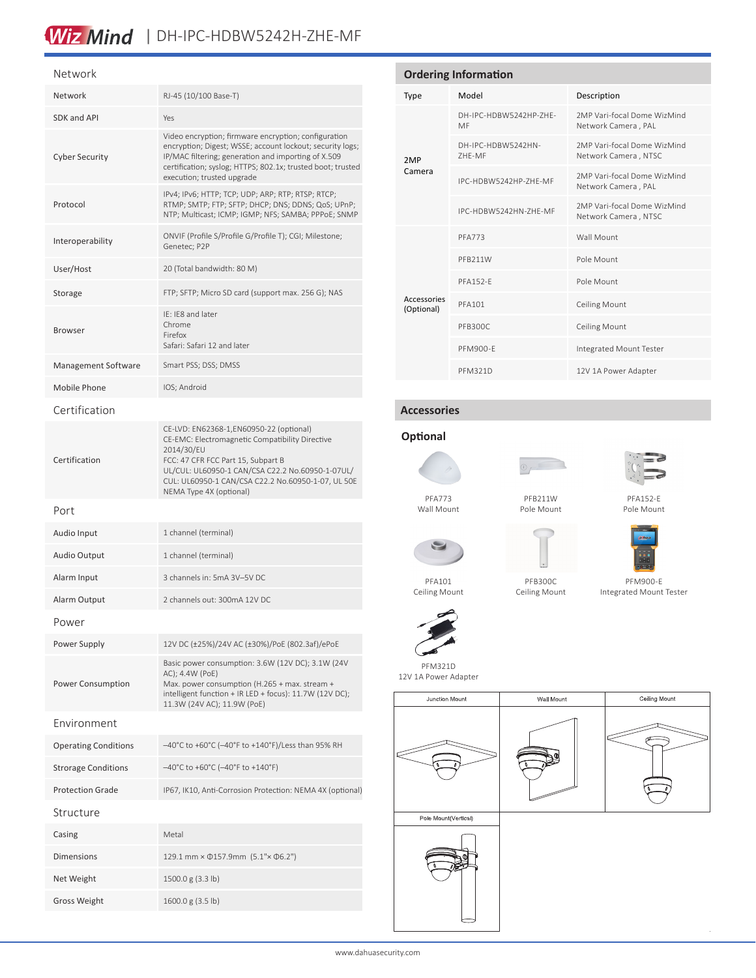## Wiz Mind | DH-IPC-HDBW5242H-ZHE-MF

### Network

| Network                     | RJ-45 (10/100 Base-T)                                                                                                                                                                                                                                                                |
|-----------------------------|--------------------------------------------------------------------------------------------------------------------------------------------------------------------------------------------------------------------------------------------------------------------------------------|
| <b>SDK and API</b>          | Yes                                                                                                                                                                                                                                                                                  |
| <b>Cyber Security</b>       | Video encryption; firmware encryption; configuration<br>encryption; Digest; WSSE; account lockout; security logs;<br>IP/MAC filtering; generation and importing of X.509<br>certification; syslog; HTTPS; 802.1x; trusted boot; trusted<br>execution; trusted upgrade                |
| Protocol                    | IPv4; IPv6; HTTP; TCP; UDP; ARP; RTP; RTSP; RTCP;<br>RTMP; SMTP; FTP; SFTP; DHCP; DNS; DDNS; QoS; UPnP;<br>NTP; Multicast; ICMP; IGMP; NFS; SAMBA; PPPoE; SNMP                                                                                                                       |
| Interoperability            | ONVIF (Profile S/Profile G/Profile T); CGI; Milestone;<br>Genetec; P2P                                                                                                                                                                                                               |
| User/Host                   | 20 (Total bandwidth: 80 M)                                                                                                                                                                                                                                                           |
| Storage                     | FTP; SFTP; Micro SD card (support max. 256 G); NAS                                                                                                                                                                                                                                   |
| <b>Browser</b>              | IE: IE8 and later<br>Chrome<br>Firefox<br>Safari: Safari 12 and later                                                                                                                                                                                                                |
| Management Software         | Smart PSS; DSS; DMSS                                                                                                                                                                                                                                                                 |
| Mobile Phone                | IOS; Android                                                                                                                                                                                                                                                                         |
| Certification               |                                                                                                                                                                                                                                                                                      |
| Certification               | CE-LVD: EN62368-1, EN60950-22 (optional)<br>CE-EMC: Electromagnetic Compatibility Directive<br>2014/30/EU<br>FCC: 47 CFR FCC Part 15, Subpart B<br>UL/CUL: UL60950-1 CAN/CSA C22.2 No.60950-1-07UL/<br>CUL: UL60950-1 CAN/CSA C22.2 No.60950-1-07, UL 50E<br>NEMA Type 4X (optional) |
| Port                        |                                                                                                                                                                                                                                                                                      |
| Audio Input                 | 1 channel (terminal)                                                                                                                                                                                                                                                                 |
| <b>Audio Output</b>         | 1 channel (terminal)                                                                                                                                                                                                                                                                 |
| Alarm Input                 | 3 channels in: 5mA 3V-5V DC                                                                                                                                                                                                                                                          |
| Alarm Output                | 2 channels out: 300mA 12V DC                                                                                                                                                                                                                                                         |
| Power                       |                                                                                                                                                                                                                                                                                      |
| Power Supply                | 12V DC (±25%)/24V AC (±30%)/PoE (802.3af)/ePoE                                                                                                                                                                                                                                       |
| Power Consumption           | Basic power consumption: 3.6W (12V DC); 3.1W (24V<br>AC); 4.4W (PoE)<br>Max. power consumption (H.265 + max. stream +<br>intelligent function + IR LED + focus): 11.7W (12V DC);<br>11.3W (24V AC); 11.9W (PoE)                                                                      |
| Fnvironment                 |                                                                                                                                                                                                                                                                                      |
| <b>Operating Conditions</b> | -40°C to +60°C (-40°F to +140°F)/Less than 95% RH                                                                                                                                                                                                                                    |
| <b>Strorage Conditions</b>  | -40°C to +60°C (-40°F to +140°F)                                                                                                                                                                                                                                                     |
| <b>Protection Grade</b>     | IP67, IK10, Anti-Corrosion Protection: NEMA 4X (optional)                                                                                                                                                                                                                            |
| Structure                   |                                                                                                                                                                                                                                                                                      |
|                             |                                                                                                                                                                                                                                                                                      |
| Casing                      | Metal                                                                                                                                                                                                                                                                                |
| <b>Dimensions</b>           | 129.1 mm × 0157.9mm (5.1"× 06.2")                                                                                                                                                                                                                                                    |
| Net Weight                  | 1500.0 g (3.3 lb)                                                                                                                                                                                                                                                                    |
| <b>Gross Weight</b>         | 1600.0 g (3.5 lb)                                                                                                                                                                                                                                                                    |

| <b>Ordering Information</b> |                              |                                                     |  |  |
|-----------------------------|------------------------------|-----------------------------------------------------|--|--|
| <b>Type</b>                 | Model                        | Description                                         |  |  |
|                             | DH-IPC-HDBW5242HP-ZHF-<br>MF | 2MP Vari-focal Dome WizMind<br>Network Camera, PAL  |  |  |
| 2MP<br>Camera               | DH-IPC-HDBW5242HN-<br>7HF-MF | 2MP Vari-focal Dome WizMind<br>Network Camera, NTSC |  |  |
|                             | IPC-HDBW5242HP-7HF-MF        | 2MP Vari-focal Dome WizMind<br>Network Camera, PAL  |  |  |
|                             | IPC-HDBW5242HN-ZHF-MF        | 2MP Vari-focal Dome WizMind<br>Network Camera, NTSC |  |  |
|                             | <b>PFA773</b>                | Wall Mount                                          |  |  |
|                             | PFB211W                      | Pole Mount                                          |  |  |
|                             | <b>PFA152-F</b>              | Pole Mount                                          |  |  |
| Accessories<br>(Optional)   | <b>PFA101</b>                | <b>Ceiling Mount</b>                                |  |  |
|                             | PFB300C                      | <b>Ceiling Mount</b>                                |  |  |
|                             | PFM900-F                     | Integrated Mount Tester                             |  |  |
|                             | <b>PFM321D</b>               | 12V 1A Power Adapter                                |  |  |

### **Accessories**



Wall Mount

PFA101 Ceiling Mount

PFM321D



PFB211W Pole Mount



PFA152-E Pole Mount



PFM900-E

 $\bar{z}$ 

PFB300C Ceiling Mount



12V 1A Power Adapter Junction Mount Wall Mount



Pole Mount(Vertical)